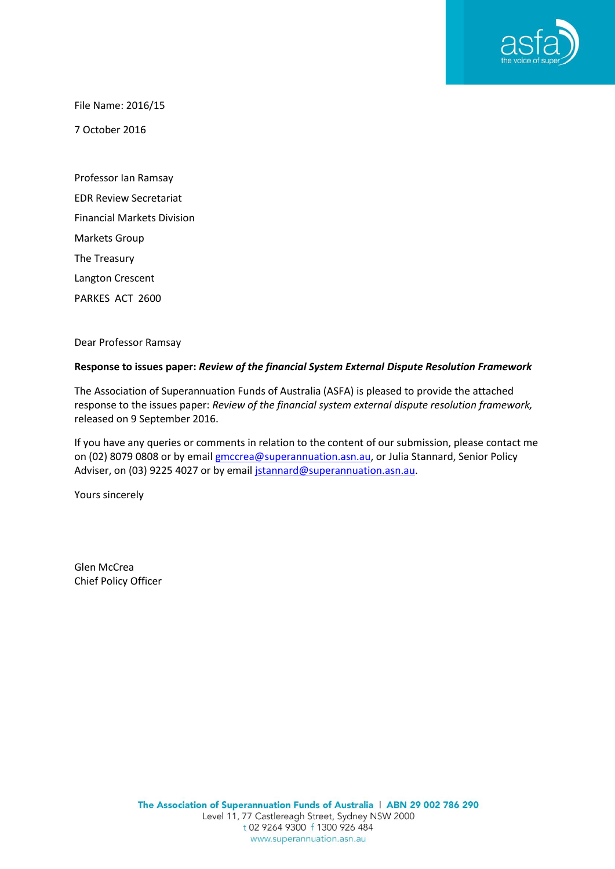

File Name: 2016/15

7 October 2016

Professor Ian Ramsay EDR Review Secretariat Financial Markets Division Markets Group The Treasury Langton Crescent PARKES ACT 2600

Dear Professor Ramsay

#### **Response to issues paper:** *Review of the financial System External Dispute Resolution Framework*

The Association of Superannuation Funds of Australia (ASFA) is pleased to provide the attached response to the issues paper: *Review of the financial system external dispute resolution framework,* released on 9 September 2016.

If you have any queries or comments in relation to the content of our submission, please contact me on (02) 8079 0808 or by emai[l gmccrea@superannuation.asn.au,](mailto:gmccrea@superannuation.asn.au) or Julia Stannard, Senior Policy Adviser, on (03) 9225 4027 or by email [jstannard@superannuation.asn.au.](mailto:jstannard@superannuation.asn.au)

Yours sincerely

Glen McCrea Chief Policy Officer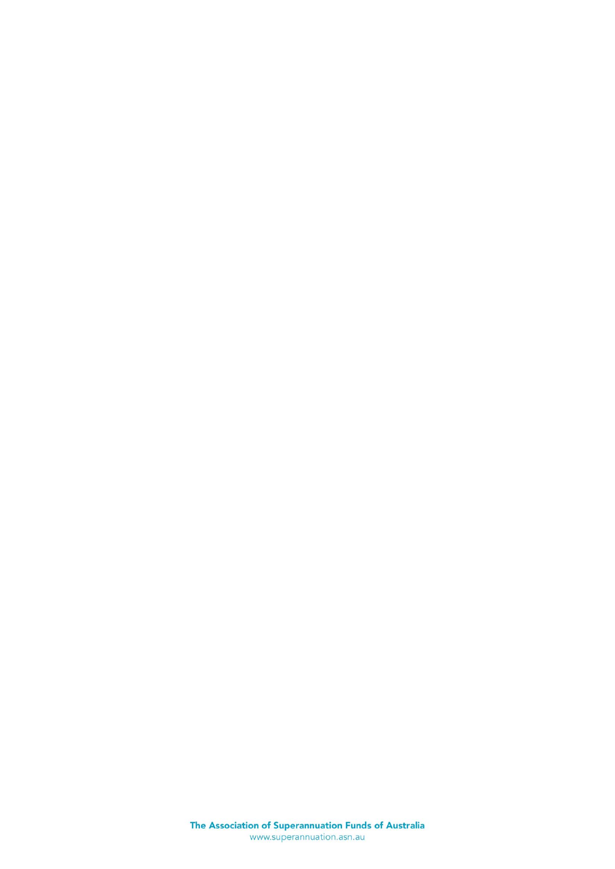The Association of Superannuation Funds of Australia<br>www.superannuation.asn.au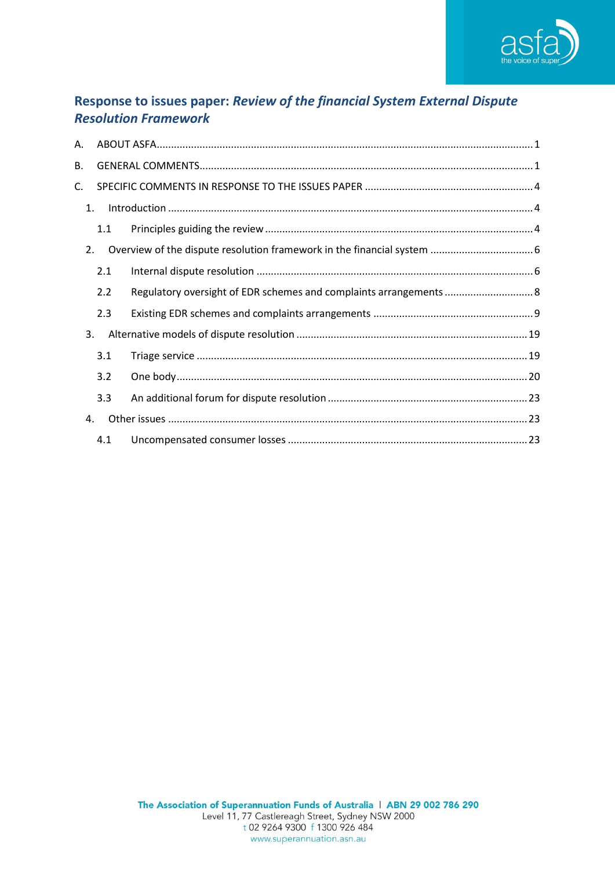

# Response to issues paper: Review of the financial System External Dispute **Resolution Framework**

| Α. |     |                                                                    |  |  |
|----|-----|--------------------------------------------------------------------|--|--|
| В. |     |                                                                    |  |  |
| C. |     |                                                                    |  |  |
| 1. |     |                                                                    |  |  |
|    | 1.1 |                                                                    |  |  |
| 2. |     |                                                                    |  |  |
|    | 2.1 |                                                                    |  |  |
|    | 2.2 | Regulatory oversight of EDR schemes and complaints arrangements  8 |  |  |
|    | 2.3 |                                                                    |  |  |
| 3. |     |                                                                    |  |  |
|    | 3.1 |                                                                    |  |  |
|    | 3.2 |                                                                    |  |  |
|    | 3.3 |                                                                    |  |  |
| 4. |     |                                                                    |  |  |
|    | 4.1 |                                                                    |  |  |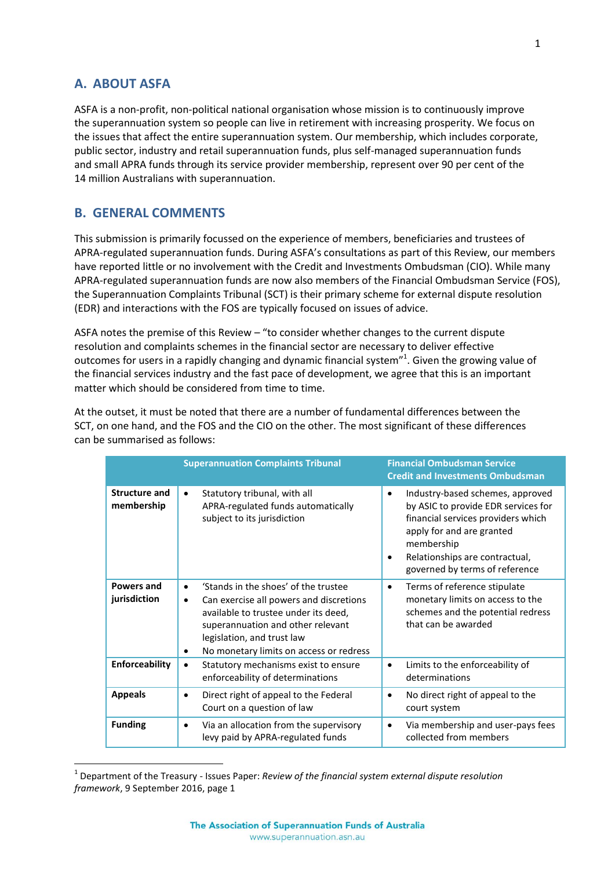## <span id="page-3-0"></span>**A. ABOUT ASFA**

**.** 

ASFA is a non-profit, non-political national organisation whose mission is to continuously improve the superannuation system so people can live in retirement with increasing prosperity. We focus on the issues that affect the entire superannuation system. Our membership, which includes corporate, public sector, industry and retail superannuation funds, plus self-managed superannuation funds and small APRA funds through its service provider membership, represent over 90 per cent of the 14 million Australians with superannuation.

## <span id="page-3-1"></span>**B. GENERAL COMMENTS**

This submission is primarily focussed on the experience of members, beneficiaries and trustees of APRA-regulated superannuation funds. During ASFA's consultations as part of this Review, our members have reported little or no involvement with the Credit and Investments Ombudsman (CIO). While many APRA-regulated superannuation funds are now also members of the Financial Ombudsman Service (FOS), the Superannuation Complaints Tribunal (SCT) is their primary scheme for external dispute resolution (EDR) and interactions with the FOS are typically focused on issues of advice.

ASFA notes the premise of this Review – "to consider whether changes to the current dispute resolution and complaints schemes in the financial sector are necessary to deliver effective outcomes for users in a rapidly changing and dynamic financial system"<sup>1</sup>. Given the growing value of the financial services industry and the fast pace of development, we agree that this is an important matter which should be considered from time to time.

At the outset, it must be noted that there are a number of fundamental differences between the SCT, on one hand, and the FOS and the CIO on the other. The most significant of these differences can be summarised as follows:

|                                    | <b>Superannuation Complaints Tribunal</b>                                                                                                                                                                                                                            | <b>Financial Ombudsman Service</b><br><b>Credit and Investments Ombudsman</b>                                                                                                                                                                  |
|------------------------------------|----------------------------------------------------------------------------------------------------------------------------------------------------------------------------------------------------------------------------------------------------------------------|------------------------------------------------------------------------------------------------------------------------------------------------------------------------------------------------------------------------------------------------|
| <b>Structure and</b><br>membership | Statutory tribunal, with all<br>$\bullet$<br>APRA-regulated funds automatically<br>subject to its jurisdiction                                                                                                                                                       | Industry-based schemes, approved<br>$\bullet$<br>by ASIC to provide EDR services for<br>financial services providers which<br>apply for and are granted<br>membership<br>Relationships are contractual,<br>٠<br>governed by terms of reference |
| Powers and<br>jurisdiction         | 'Stands in the shoes' of the trustee<br>$\bullet$<br>Can exercise all powers and discretions<br>$\bullet$<br>available to trustee under its deed,<br>superannuation and other relevant<br>legislation, and trust law<br>No monetary limits on access or redress<br>٠ | Terms of reference stipulate<br>$\bullet$<br>monetary limits on access to the<br>schemes and the potential redress<br>that can be awarded                                                                                                      |
| Enforceability                     | Statutory mechanisms exist to ensure<br>$\bullet$<br>enforceability of determinations                                                                                                                                                                                | Limits to the enforceability of<br>$\bullet$<br>determinations                                                                                                                                                                                 |
| <b>Appeals</b>                     | Direct right of appeal to the Federal<br>$\bullet$<br>Court on a question of law                                                                                                                                                                                     | No direct right of appeal to the<br>$\bullet$<br>court system                                                                                                                                                                                  |
| <b>Funding</b>                     | Via an allocation from the supervisory<br>٠<br>levy paid by APRA-regulated funds                                                                                                                                                                                     | Via membership and user-pays fees<br>٠<br>collected from members                                                                                                                                                                               |

<sup>&</sup>lt;sup>1</sup> Department of the Treasury - Issues Paper: *Review of the financial system external dispute resolution framework*, 9 September 2016, page 1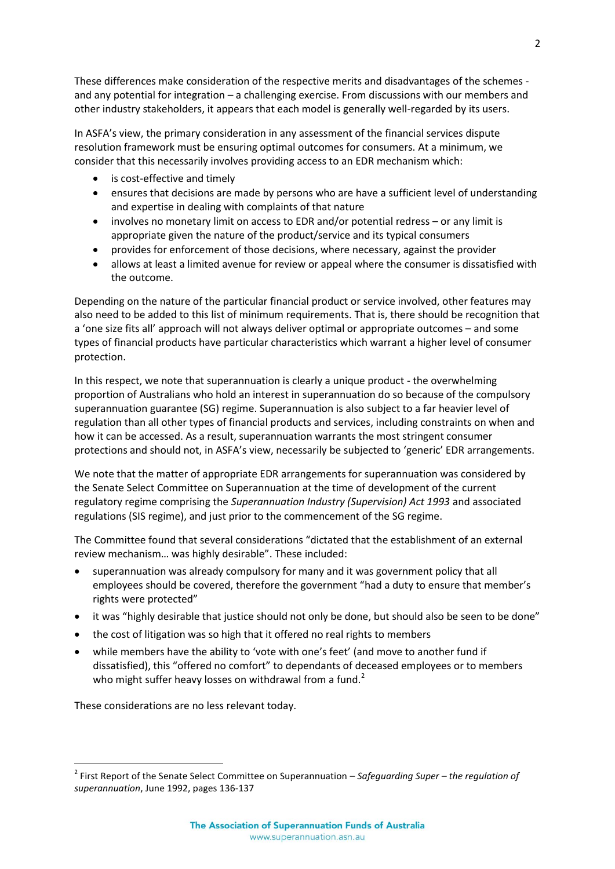These differences make consideration of the respective merits and disadvantages of the schemes and any potential for integration – a challenging exercise. From discussions with our members and other industry stakeholders, it appears that each model is generally well-regarded by its users.

In ASFA's view, the primary consideration in any assessment of the financial services dispute resolution framework must be ensuring optimal outcomes for consumers. At a minimum, we consider that this necessarily involves providing access to an EDR mechanism which:

- is cost-effective and timely
- ensures that decisions are made by persons who are have a sufficient level of understanding and expertise in dealing with complaints of that nature
- involves no monetary limit on access to EDR and/or potential redress or any limit is appropriate given the nature of the product/service and its typical consumers
- provides for enforcement of those decisions, where necessary, against the provider
- allows at least a limited avenue for review or appeal where the consumer is dissatisfied with the outcome.

Depending on the nature of the particular financial product or service involved, other features may also need to be added to this list of minimum requirements. That is, there should be recognition that a 'one size fits all' approach will not always deliver optimal or appropriate outcomes – and some types of financial products have particular characteristics which warrant a higher level of consumer protection.

In this respect, we note that superannuation is clearly a unique product - the overwhelming proportion of Australians who hold an interest in superannuation do so because of the compulsory superannuation guarantee (SG) regime. Superannuation is also subject to a far heavier level of regulation than all other types of financial products and services, including constraints on when and how it can be accessed. As a result, superannuation warrants the most stringent consumer protections and should not, in ASFA's view, necessarily be subjected to 'generic' EDR arrangements.

We note that the matter of appropriate EDR arrangements for superannuation was considered by the Senate Select Committee on Superannuation at the time of development of the current regulatory regime comprising the *Superannuation Industry (Supervision) Act 1993* and associated regulations (SIS regime), and just prior to the commencement of the SG regime.

The Committee found that several considerations "dictated that the establishment of an external review mechanism… was highly desirable". These included:

- superannuation was already compulsory for many and it was government policy that all employees should be covered, therefore the government "had a duty to ensure that member's rights were protected"
- it was "highly desirable that justice should not only be done, but should also be seen to be done"
- the cost of litigation was so high that it offered no real rights to members
- while members have the ability to 'vote with one's feet' (and move to another fund if dissatisfied), this "offered no comfort" to dependants of deceased employees or to members who might suffer heavy losses on withdrawal from a fund.<sup>2</sup>

These considerations are no less relevant today.

<sup>2</sup> First Report of the Senate Select Committee on Superannuation – *Safeguarding Super – the regulation of superannuation*, June 1992, pages 136-137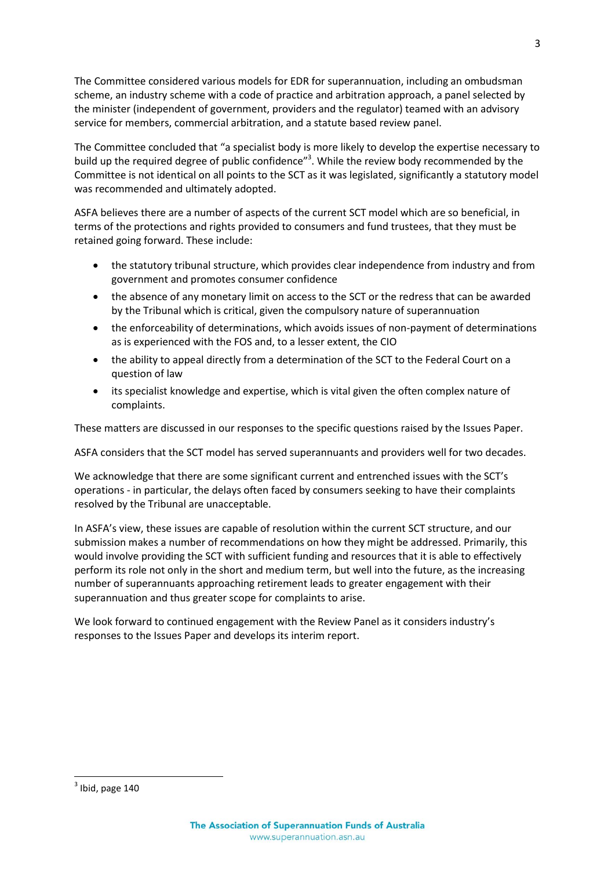The Committee considered various models for EDR for superannuation, including an ombudsman scheme, an industry scheme with a code of practice and arbitration approach, a panel selected by the minister (independent of government, providers and the regulator) teamed with an advisory service for members, commercial arbitration, and a statute based review panel.

The Committee concluded that "a specialist body is more likely to develop the expertise necessary to build up the required degree of public confidence"<sup>3</sup>. While the review body recommended by the Committee is not identical on all points to the SCT as it was legislated, significantly a statutory model was recommended and ultimately adopted.

ASFA believes there are a number of aspects of the current SCT model which are so beneficial, in terms of the protections and rights provided to consumers and fund trustees, that they must be retained going forward. These include:

- the statutory tribunal structure, which provides clear independence from industry and from government and promotes consumer confidence
- the absence of any monetary limit on access to the SCT or the redress that can be awarded by the Tribunal which is critical, given the compulsory nature of superannuation
- the enforceability of determinations, which avoids issues of non-payment of determinations as is experienced with the FOS and, to a lesser extent, the CIO
- the ability to appeal directly from a determination of the SCT to the Federal Court on a question of law
- its specialist knowledge and expertise, which is vital given the often complex nature of complaints.

These matters are discussed in our responses to the specific questions raised by the Issues Paper.

ASFA considers that the SCT model has served superannuants and providers well for two decades.

We acknowledge that there are some significant current and entrenched issues with the SCT's operations - in particular, the delays often faced by consumers seeking to have their complaints resolved by the Tribunal are unacceptable.

In ASFA's view, these issues are capable of resolution within the current SCT structure, and our submission makes a number of recommendations on how they might be addressed. Primarily, this would involve providing the SCT with sufficient funding and resources that it is able to effectively perform its role not only in the short and medium term, but well into the future, as the increasing number of superannuants approaching retirement leads to greater engagement with their superannuation and thus greater scope for complaints to arise.

We look forward to continued engagement with the Review Panel as it considers industry's responses to the Issues Paper and develops its interim report.

 $3$  Ibid, page 140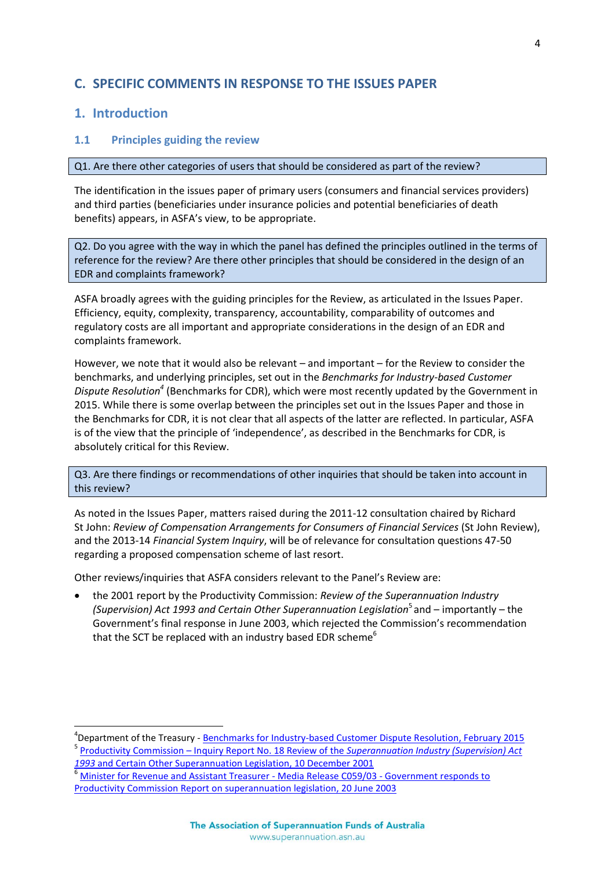## <span id="page-6-0"></span>**C. SPECIFIC COMMENTS IN RESPONSE TO THE ISSUES PAPER**

## <span id="page-6-1"></span>**1. Introduction**

 $\overline{a}$ 

#### <span id="page-6-2"></span>**1.1 Principles guiding the review**

#### Q1. Are there other categories of users that should be considered as part of the review?

The identification in the issues paper of primary users (consumers and financial services providers) and third parties (beneficiaries under insurance policies and potential beneficiaries of death benefits) appears, in ASFA's view, to be appropriate.

Q2. Do you agree with the way in which the panel has defined the principles outlined in the terms of reference for the review? Are there other principles that should be considered in the design of an EDR and complaints framework?

ASFA broadly agrees with the guiding principles for the Review, as articulated in the Issues Paper. Efficiency, equity, complexity, transparency, accountability, comparability of outcomes and regulatory costs are all important and appropriate considerations in the design of an EDR and complaints framework.

However, we note that it would also be relevant – and important – for the Review to consider the benchmarks, and underlying principles, set out in the *Benchmarks for Industry-based Customer Dispute Resolution<sup>4</sup>* (Benchmarks for CDR), which were most recently updated by the Government in 2015. While there is some overlap between the principles set out in the Issues Paper and those in the Benchmarks for CDR, it is not clear that all aspects of the latter are reflected. In particular, ASFA is of the view that the principle of 'independence', as described in the Benchmarks for CDR, is absolutely critical for this Review.

Q3. Are there findings or recommendations of other inquiries that should be taken into account in this review?

As noted in the Issues Paper, matters raised during the 2011-12 consultation chaired by Richard St John: *Review of Compensation Arrangements for Consumers of Financial Services* (St John Review), and the 2013-14 *Financial System Inquiry*, will be of relevance for consultation questions 47-50 regarding a proposed compensation scheme of last resort.

Other reviews/inquiries that ASFA considers relevant to the Panel's Review are:

 the 2001 report by the Productivity Commission: *Review of the Superannuation Industry*  (Supervision) Act 1993 and Certain Other Superannuation Legislation<sup>5</sup> and - importantly - the Government's final response in June 2003, which rejected the Commission's recommendation that the SCT be replaced with an industry based EDR scheme<sup>6</sup>

<sup>&</sup>lt;sup>4</sup>Department of the Treasury - <u>[Benchmarks for Industry-based Customer Dispute Resolution, February 2015](http://www.treasury.gov.au/PublicationsAndMedia/Publications/2015/key-pract-ind-cust-dis-reso)</u> 5 Productivity Commission – Inquiry Report No. 18 Review of the *[Superannuation Industry \(Supervision\) Act](http://www.pc.gov.au/inquiries/completed/super/report/super.pdf)  1993* [and Certain Other Superannuation Legislation, 10 December 2001](http://www.pc.gov.au/inquiries/completed/super/report/super.pdf)

<sup>&</sup>lt;sup>6</sup> [Minister for Revenue and Assistant Treasurer -](http://ministers.treasury.gov.au/DisplayDocs.aspx?doc=pressreleases/2003/059.htm&pageID=003&min=hlc&Year=2003&DocType=0) Media Release C059/03 - Government responds to [Productivity Commission Report on superannuation legislation, 20 June 2003](http://ministers.treasury.gov.au/DisplayDocs.aspx?doc=pressreleases/2003/059.htm&pageID=003&min=hlc&Year=2003&DocType=0)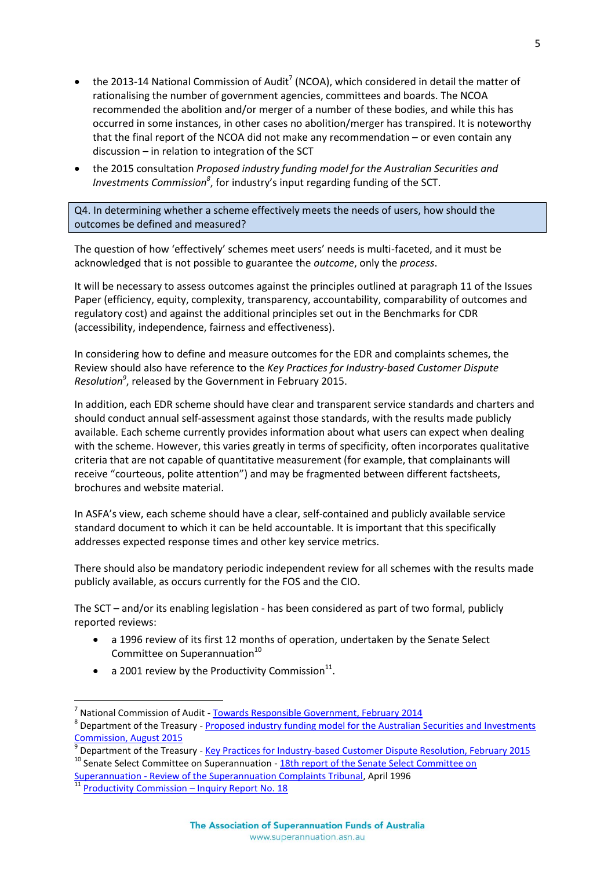- the 2013-14 National Commission of Audit<sup>7</sup> (NCOA), which considered in detail the matter of rationalising the number of government agencies, committees and boards. The NCOA recommended the abolition and/or merger of a number of these bodies, and while this has occurred in some instances, in other cases no abolition/merger has transpired. It is noteworthy that the final report of the NCOA did not make any recommendation – or even contain any discussion – in relation to integration of the SCT
- the 2015 consultation *Proposed industry funding model for the Australian Securities and Investments Commission<sup>8</sup>* , for industry's input regarding funding of the SCT.

Q4. In determining whether a scheme effectively meets the needs of users, how should the outcomes be defined and measured?

The question of how 'effectively' schemes meet users' needs is multi-faceted, and it must be acknowledged that is not possible to guarantee the *outcome*, only the *process*.

It will be necessary to assess outcomes against the principles outlined at paragraph 11 of the Issues Paper (efficiency, equity, complexity, transparency, accountability, comparability of outcomes and regulatory cost) and against the additional principles set out in the Benchmarks for CDR (accessibility, independence, fairness and effectiveness).

In considering how to define and measure outcomes for the EDR and complaints schemes, the Review should also have reference to the *Key Practices for Industry-based Customer Dispute Resolution<sup>9</sup>* , released by the Government in February 2015.

In addition, each EDR scheme should have clear and transparent service standards and charters and should conduct annual self-assessment against those standards, with the results made publicly available. Each scheme currently provides information about what users can expect when dealing with the scheme. However, this varies greatly in terms of specificity, often incorporates qualitative criteria that are not capable of quantitative measurement (for example, that complainants will receive "courteous, polite attention") and may be fragmented between different factsheets, brochures and website material.

In ASFA's view, each scheme should have a clear, self-contained and publicly available service standard document to which it can be held accountable. It is important that this specifically addresses expected response times and other key service metrics.

There should also be mandatory periodic independent review for all schemes with the results made publicly available, as occurs currently for the FOS and the CIO.

The SCT – and/or its enabling legislation - has been considered as part of two formal, publicly reported reviews:

- a 1996 review of its first 12 months of operation, undertaken by the Senate Select Committee on Superannuation $10$
- a 2001 review by the Productivity Commission $^{11}$ .

 $\overline{a}$ 

<sup>7</sup> National Commission of Audit - [Towards Responsible Government, February 2014](http://ncoa.gov.au/report/index.html) <sup>8</sup> Department of the Treasury - Proposed industry funding model for the Australian Securities and Investments [Commission, August 2015](http://www.treasury.gov.au/ConsultationsandReviews/Consultations/2015/Proposed-industry-funding-model-for-ASIC)

<sup>9</sup> Department of the Treasury - [Key Practices for Industry-based Customer Dispute Resolution, February 2015](file://192.168.20.2/Group/POLICY/Ramsay%20EDR%20Review/Key%20Practices%20for%20Industry-based%20Customer%20Dispute%20Resolution,%20February%202015)  $10$  Senate Select Committee on Superannuation -  $18th$  report of the Senate Select Committee on

Superannuation - [Review of the Superannuation Complaints Tribunal,](http://www.aph.gov.au/Parliamentary_Business/Committees/Senate/Significant_Reports/superctte/suprep18/~/media/wopapub/senate/committee/history/super_ctte/suprep18/report.ashx) April 1996

 $\frac{11}{11}$  [Productivity Commission](http://www.pc.gov.au/inquiries/completed/super/report/super.pdf) – Inquiry Report No. 18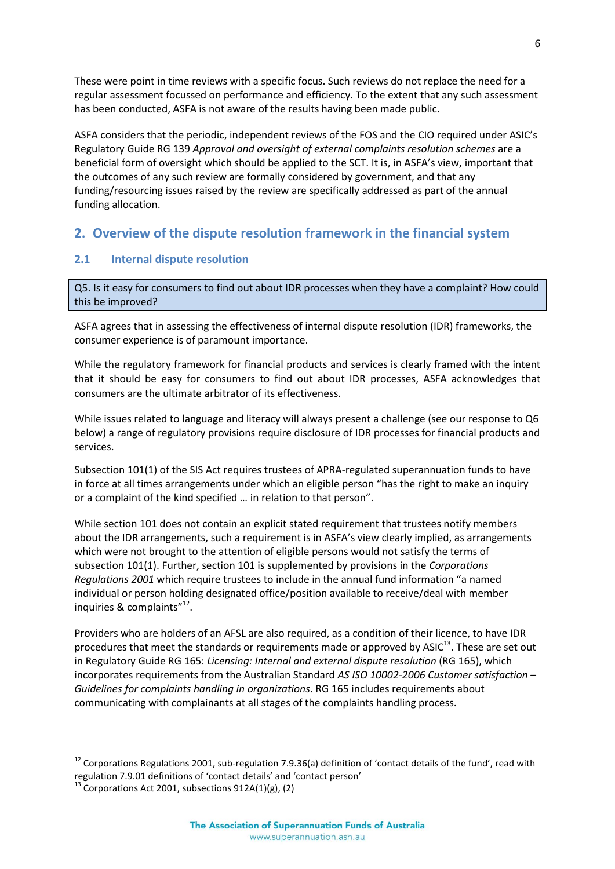These were point in time reviews with a specific focus. Such reviews do not replace the need for a regular assessment focussed on performance and efficiency. To the extent that any such assessment has been conducted, ASFA is not aware of the results having been made public.

ASFA considers that the periodic, independent reviews of the FOS and the CIO required under ASIC's Regulatory Guide RG 139 *Approval and oversight of external complaints resolution schemes* are a beneficial form of oversight which should be applied to the SCT. It is, in ASFA's view, important that the outcomes of any such review are formally considered by government, and that any funding/resourcing issues raised by the review are specifically addressed as part of the annual funding allocation.

## <span id="page-8-0"></span>**2. Overview of the dispute resolution framework in the financial system**

### <span id="page-8-1"></span>**2.1 Internal dispute resolution**

Q5. Is it easy for consumers to find out about IDR processes when they have a complaint? How could this be improved?

ASFA agrees that in assessing the effectiveness of internal dispute resolution (IDR) frameworks, the consumer experience is of paramount importance.

While the regulatory framework for financial products and services is clearly framed with the intent that it should be easy for consumers to find out about IDR processes, ASFA acknowledges that consumers are the ultimate arbitrator of its effectiveness.

While issues related to language and literacy will always present a challenge (see our response to Q6 below) a range of regulatory provisions require disclosure of IDR processes for financial products and services.

Subsection 101(1) of the SIS Act requires trustees of APRA-regulated superannuation funds to have in force at all times arrangements under which an eligible person "has the right to make an inquiry or a complaint of the kind specified … in relation to that person".

While section 101 does not contain an explicit stated requirement that trustees notify members about the IDR arrangements, such a requirement is in ASFA's view clearly implied, as arrangements which were not brought to the attention of eligible persons would not satisfy the terms of subsection 101(1). Further, section 101 is supplemented by provisions in the *Corporations Regulations 2001* which require trustees to include in the annual fund information "a named individual or person holding designated office/position available to receive/deal with member inquiries & complaints"<sup>12</sup>.

Providers who are holders of an AFSL are also required, as a condition of their licence, to have IDR procedures that meet the standards or requirements made or approved by ASIC<sup>13</sup>. These are set out in Regulatory Guide RG 165: *Licensing: Internal and external dispute resolution* (RG 165), which incorporates requirements from the Australian Standard *AS ISO 10002-2006 Customer satisfaction – Guidelines for complaints handling in organizations*. RG 165 includes requirements about communicating with complainants at all stages of the complaints handling process.

 $12$  Corporations Regulations 2001, sub-regulation 7.9.36(a) definition of 'contact details of the fund', read with regulation 7.9.01 definitions of 'contact details' and 'contact person'

 $13$  Corporations Act 2001, subsections 912A(1)(g), (2)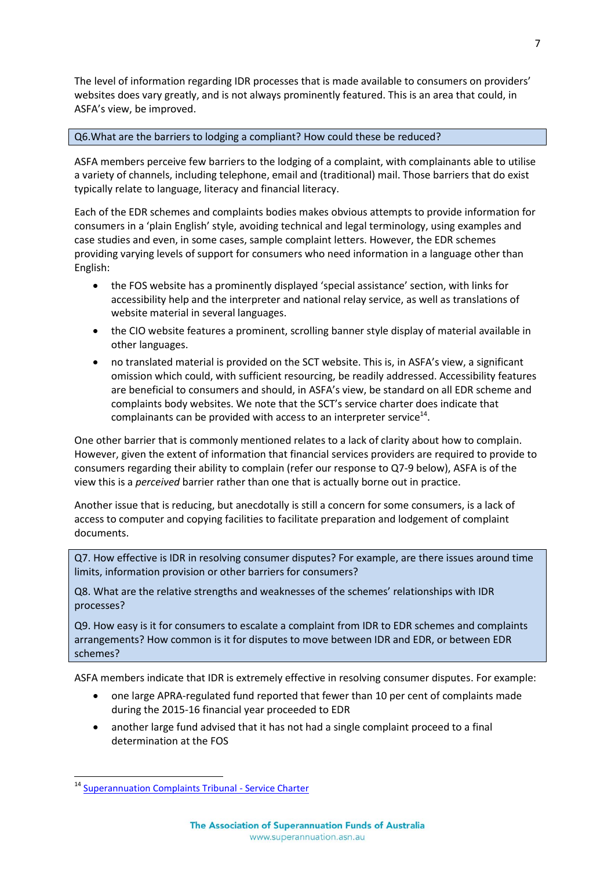The level of information regarding IDR processes that is made available to consumers on providers' websites does vary greatly, and is not always prominently featured. This is an area that could, in ASFA's view, be improved.

#### Q6.What are the barriers to lodging a compliant? How could these be reduced?

ASFA members perceive few barriers to the lodging of a complaint, with complainants able to utilise a variety of channels, including telephone, email and (traditional) mail. Those barriers that do exist typically relate to language, literacy and financial literacy.

Each of the EDR schemes and complaints bodies makes obvious attempts to provide information for consumers in a 'plain English' style, avoiding technical and legal terminology, using examples and case studies and even, in some cases, sample complaint letters. However, the EDR schemes providing varying levels of support for consumers who need information in a language other than English:

- the FOS website has a prominently displayed 'special assistance' section, with links for accessibility help and the interpreter and national relay service, as well as translations of website material in several languages.
- the CIO website features a prominent, scrolling banner style display of material available in other languages.
- no translated material is provided on the SCT website. This is, in ASFA's view, a significant omission which could, with sufficient resourcing, be readily addressed. Accessibility features are beneficial to consumers and should, in ASFA's view, be standard on all EDR scheme and complaints body websites. We note that the SCT's service charter does indicate that complainants can be provided with access to an interpreter service $^{14}$ .

One other barrier that is commonly mentioned relates to a lack of clarity about how to complain. However, given the extent of information that financial services providers are required to provide to consumers regarding their ability to complain (refer our response to Q7-9 below), ASFA is of the view this is a *perceived* barrier rather than one that is actually borne out in practice.

Another issue that is reducing, but anecdotally is still a concern for some consumers, is a lack of access to computer and copying facilities to facilitate preparation and lodgement of complaint documents.

Q7. How effective is IDR in resolving consumer disputes? For example, are there issues around time limits, information provision or other barriers for consumers?

Q8. What are the relative strengths and weaknesses of the schemes' relationships with IDR processes?

Q9. How easy is it for consumers to escalate a complaint from IDR to EDR schemes and complaints arrangements? How common is it for disputes to move between IDR and EDR, or between EDR schemes?

ASFA members indicate that IDR is extremely effective in resolving consumer disputes. For example:

- one large APRA-regulated fund reported that fewer than 10 per cent of complaints made during the 2015-16 financial year proceeded to EDR
- another large fund advised that it has not had a single complaint proceed to a final determination at the FOS

<sup>14</sup> [Superannuation Complaints Tribunal -](http://www.sct.gov.au/pages/about-us/service-charter?zoom_highlight=charter) Service Charter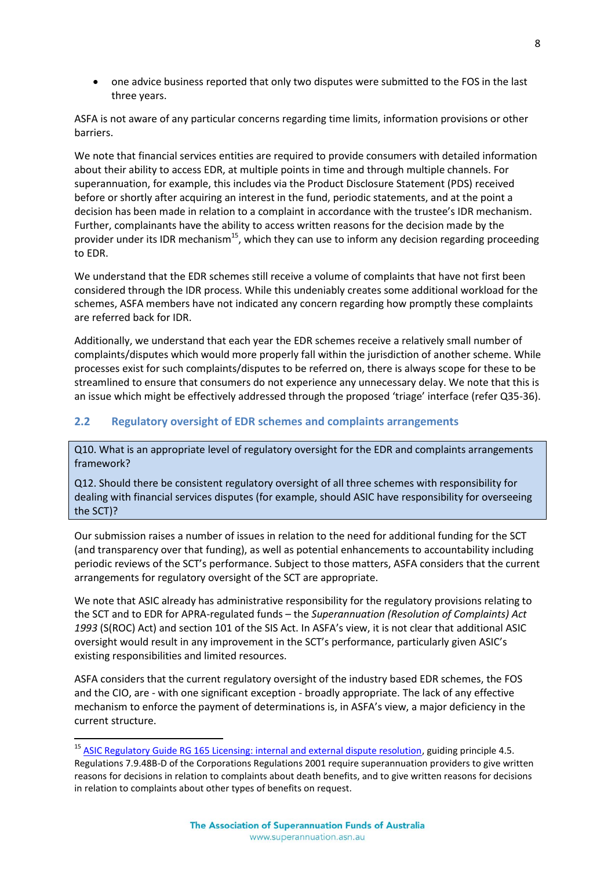one advice business reported that only two disputes were submitted to the FOS in the last three years.

ASFA is not aware of any particular concerns regarding time limits, information provisions or other barriers.

We note that financial services entities are required to provide consumers with detailed information about their ability to access EDR, at multiple points in time and through multiple channels. For superannuation, for example, this includes via the Product Disclosure Statement (PDS) received before or shortly after acquiring an interest in the fund, periodic statements, and at the point a decision has been made in relation to a complaint in accordance with the trustee's IDR mechanism. Further, complainants have the ability to access written reasons for the decision made by the provider under its IDR mechanism<sup>15</sup>, which they can use to inform any decision regarding proceeding to EDR.

We understand that the EDR schemes still receive a volume of complaints that have not first been considered through the IDR process. While this undeniably creates some additional workload for the schemes, ASFA members have not indicated any concern regarding how promptly these complaints are referred back for IDR.

Additionally, we understand that each year the EDR schemes receive a relatively small number of complaints/disputes which would more properly fall within the jurisdiction of another scheme. While processes exist for such complaints/disputes to be referred on, there is always scope for these to be streamlined to ensure that consumers do not experience any unnecessary delay. We note that this is an issue which might be effectively addressed through the proposed 'triage' interface (refer Q35-36).

#### <span id="page-10-0"></span>**2.2 Regulatory oversight of EDR schemes and complaints arrangements**

Q10. What is an appropriate level of regulatory oversight for the EDR and complaints arrangements framework?

Q12. Should there be consistent regulatory oversight of all three schemes with responsibility for dealing with financial services disputes (for example, should ASIC have responsibility for overseeing the SCT)?

Our submission raises a number of issues in relation to the need for additional funding for the SCT (and transparency over that funding), as well as potential enhancements to accountability including periodic reviews of the SCT's performance. Subject to those matters, ASFA considers that the current arrangements for regulatory oversight of the SCT are appropriate.

We note that ASIC already has administrative responsibility for the regulatory provisions relating to the SCT and to EDR for APRA-regulated funds – the *Superannuation (Resolution of Complaints) Act 1993* (S(ROC) Act) and section 101 of the SIS Act. In ASFA's view, it is not clear that additional ASIC oversight would result in any improvement in the SCT's performance, particularly given ASIC's existing responsibilities and limited resources.

ASFA considers that the current regulatory oversight of the industry based EDR schemes, the FOS and the CIO, are - with one significant exception - broadly appropriate. The lack of any effective mechanism to enforce the payment of determinations is, in ASFA's view, a major deficiency in the current structure.

<sup>&</sup>lt;sup>15</sup> [ASIC Regulatory Guide RG 165 Licensing: internal and external dispute resolution,](http://download.asic.gov.au/media/3285121/rg165-published-2-july-2015.pdf) guiding principle 4.5. Regulations 7.9.48B-D of the Corporations Regulations 2001 require superannuation providers to give written reasons for decisions in relation to complaints about death benefits, and to give written reasons for decisions in relation to complaints about other types of benefits on request.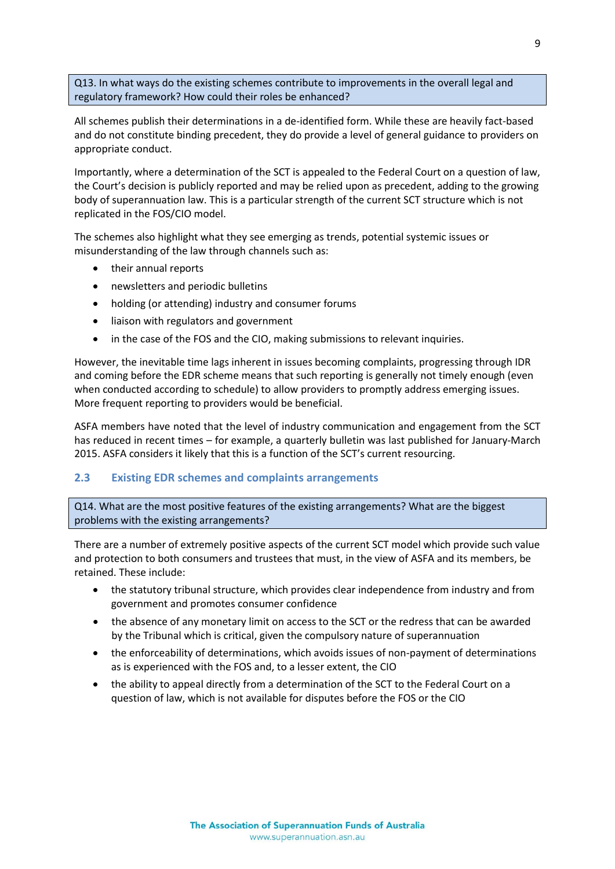Q13. In what ways do the existing schemes contribute to improvements in the overall legal and regulatory framework? How could their roles be enhanced?

All schemes publish their determinations in a de-identified form. While these are heavily fact-based and do not constitute binding precedent, they do provide a level of general guidance to providers on appropriate conduct.

Importantly, where a determination of the SCT is appealed to the Federal Court on a question of law, the Court's decision is publicly reported and may be relied upon as precedent, adding to the growing body of superannuation law. This is a particular strength of the current SCT structure which is not replicated in the FOS/CIO model.

The schemes also highlight what they see emerging as trends, potential systemic issues or misunderstanding of the law through channels such as:

- their annual reports
- newsletters and periodic bulletins
- holding (or attending) industry and consumer forums
- liaison with regulators and government
- in the case of the FOS and the CIO, making submissions to relevant inquiries.

However, the inevitable time lags inherent in issues becoming complaints, progressing through IDR and coming before the EDR scheme means that such reporting is generally not timely enough (even when conducted according to schedule) to allow providers to promptly address emerging issues. More frequent reporting to providers would be beneficial.

ASFA members have noted that the level of industry communication and engagement from the SCT has reduced in recent times – for example, a quarterly bulletin was last published for January-March 2015. ASFA considers it likely that this is a function of the SCT's current resourcing.

#### <span id="page-11-0"></span>**2.3 Existing EDR schemes and complaints arrangements**

Q14. What are the most positive features of the existing arrangements? What are the biggest problems with the existing arrangements?

There are a number of extremely positive aspects of the current SCT model which provide such value and protection to both consumers and trustees that must, in the view of ASFA and its members, be retained. These include:

- the statutory tribunal structure, which provides clear independence from industry and from government and promotes consumer confidence
- the absence of any monetary limit on access to the SCT or the redress that can be awarded by the Tribunal which is critical, given the compulsory nature of superannuation
- the enforceability of determinations, which avoids issues of non-payment of determinations as is experienced with the FOS and, to a lesser extent, the CIO
- the ability to appeal directly from a determination of the SCT to the Federal Court on a question of law, which is not available for disputes before the FOS or the CIO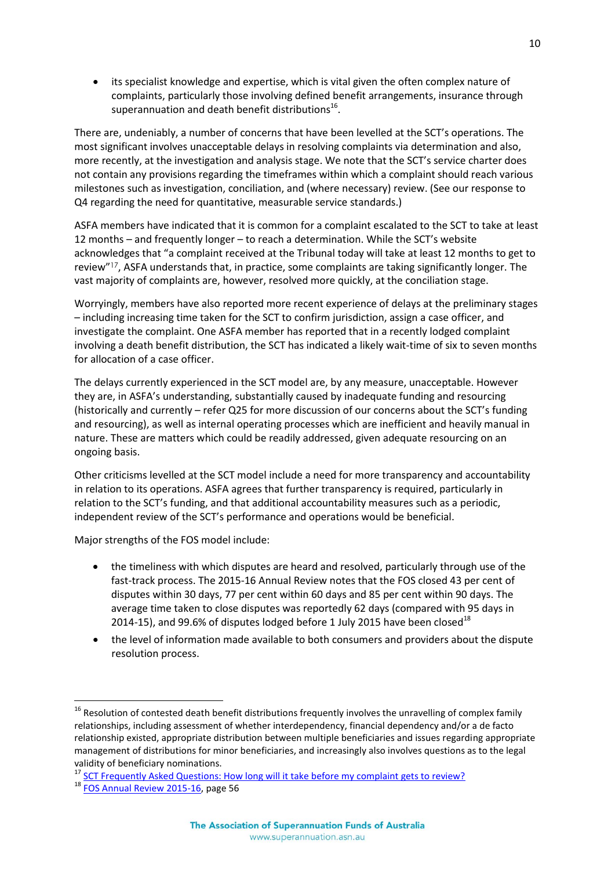its specialist knowledge and expertise, which is vital given the often complex nature of complaints, particularly those involving defined benefit arrangements, insurance through superannuation and death benefit distributions $^{16}$ .

There are, undeniably, a number of concerns that have been levelled at the SCT's operations. The most significant involves unacceptable delays in resolving complaints via determination and also, more recently, at the investigation and analysis stage. We note that the SCT's service charter does not contain any provisions regarding the timeframes within which a complaint should reach various milestones such as investigation, conciliation, and (where necessary) review. (See our response to Q4 regarding the need for quantitative, measurable service standards.)

ASFA members have indicated that it is common for a complaint escalated to the SCT to take at least 12 months – and frequently longer – to reach a determination. While the SCT's website acknowledges that "a complaint received at the Tribunal today will take at least 12 months to get to review"<sup>17</sup>, ASFA understands that, in practice, some complaints are taking significantly longer. The vast majority of complaints are, however, resolved more quickly, at the conciliation stage.

Worryingly, members have also reported more recent experience of delays at the preliminary stages – including increasing time taken for the SCT to confirm jurisdiction, assign a case officer, and investigate the complaint. One ASFA member has reported that in a recently lodged complaint involving a death benefit distribution, the SCT has indicated a likely wait-time of six to seven months for allocation of a case officer.

The delays currently experienced in the SCT model are, by any measure, unacceptable. However they are, in ASFA's understanding, substantially caused by inadequate funding and resourcing (historically and currently – refer Q25 for more discussion of our concerns about the SCT's funding and resourcing), as well as internal operating processes which are inefficient and heavily manual in nature. These are matters which could be readily addressed, given adequate resourcing on an ongoing basis.

Other criticisms levelled at the SCT model include a need for more transparency and accountability in relation to its operations. ASFA agrees that further transparency is required, particularly in relation to the SCT's funding, and that additional accountability measures such as a periodic, independent review of the SCT's performance and operations would be beneficial.

Major strengths of the FOS model include:

- the timeliness with which disputes are heard and resolved, particularly through use of the fast-track process. The 2015-16 Annual Review notes that the FOS closed 43 per cent of disputes within 30 days, 77 per cent within 60 days and 85 per cent within 90 days. The average time taken to close disputes was reportedly 62 days (compared with 95 days in 2014-15), and 99.6% of disputes lodged before 1 July 2015 have been closed<sup>18</sup>
- the level of information made available to both consumers and providers about the dispute resolution process.

 $\overline{a}$ 

<sup>&</sup>lt;sup>16</sup> Resolution of contested death benefit distributions frequently involves the unravelling of complex family relationships, including assessment of whether interdependency, financial dependency and/or a de facto relationship existed, appropriate distribution between multiple beneficiaries and issues regarding appropriate management of distributions for minor beneficiaries, and increasingly also involves questions as to the legal validity of beneficiary nominations.

<sup>&</sup>lt;sup>17</sup> [SCT Frequently Asked Questions: How long will it take before my complaint gets to review?](http://www.sct.gov.au/faqs/frequently-asked-questions)

<sup>&</sup>lt;sup>18</sup> [FOS Annual Review 2015-16,](http://fos.org.au/publications/flipbooks/annual-review/2015-2016/index.html#page=1) page 56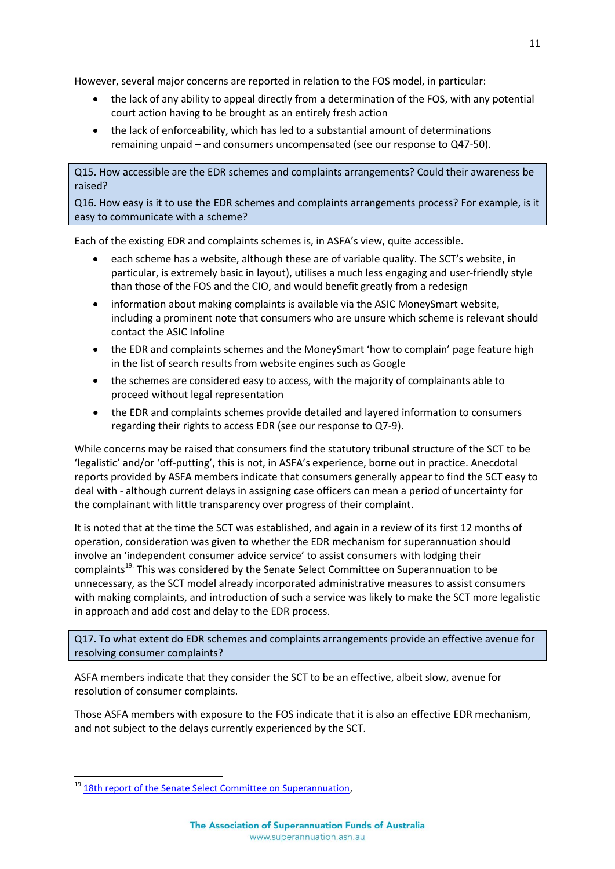However, several major concerns are reported in relation to the FOS model, in particular:

- the lack of any ability to appeal directly from a determination of the FOS, with any potential court action having to be brought as an entirely fresh action
- the lack of enforceability, which has led to a substantial amount of determinations remaining unpaid – and consumers uncompensated (see our response to Q47-50).

Q15. How accessible are the EDR schemes and complaints arrangements? Could their awareness be raised?

Q16. How easy is it to use the EDR schemes and complaints arrangements process? For example, is it easy to communicate with a scheme?

Each of the existing EDR and complaints schemes is, in ASFA's view, quite accessible.

- each scheme has a website, although these are of variable quality. The SCT's website, in particular, is extremely basic in layout), utilises a much less engaging and user-friendly style than those of the FOS and the CIO, and would benefit greatly from a redesign
- information about making complaints is available via the ASIC MoneySmart website, including a prominent note that consumers who are unsure which scheme is relevant should contact the ASIC Infoline
- the EDR and complaints schemes and the MoneySmart 'how to complain' page feature high in the list of search results from website engines such as Google
- the schemes are considered easy to access, with the majority of complainants able to proceed without legal representation
- the EDR and complaints schemes provide detailed and layered information to consumers regarding their rights to access EDR (see our response to Q7-9).

While concerns may be raised that consumers find the statutory tribunal structure of the SCT to be 'legalistic' and/or 'off-putting', this is not, in ASFA's experience, borne out in practice. Anecdotal reports provided by ASFA members indicate that consumers generally appear to find the SCT easy to deal with - although current delays in assigning case officers can mean a period of uncertainty for the complainant with little transparency over progress of their complaint.

It is noted that at the time the SCT was established, and again in a review of its first 12 months of operation, consideration was given to whether the EDR mechanism for superannuation should involve an 'independent consumer advice service' to assist consumers with lodging their complaints<sup>19.</sup> This was considered by the Senate Select Committee on Superannuation to be unnecessary, as the SCT model already incorporated administrative measures to assist consumers with making complaints, and introduction of such a service was likely to make the SCT more legalistic in approach and add cost and delay to the EDR process.

Q17. To what extent do EDR schemes and complaints arrangements provide an effective avenue for resolving consumer complaints?

ASFA members indicate that they consider the SCT to be an effective, albeit slow, avenue for resolution of consumer complaints.

Those ASFA members with exposure to the FOS indicate that it is also an effective EDR mechanism, and not subject to the delays currently experienced by the SCT.

<sup>&</sup>lt;sup>19</sup> [18th report of the Senate Select Committee on Superannuation,](http://www.aph.gov.au/Parliamentary_Business/Committees/Senate/Significant_Reports/superctte/suprep18/~/media/wopapub/senate/committee/history/super_ctte/suprep18/report.ashx)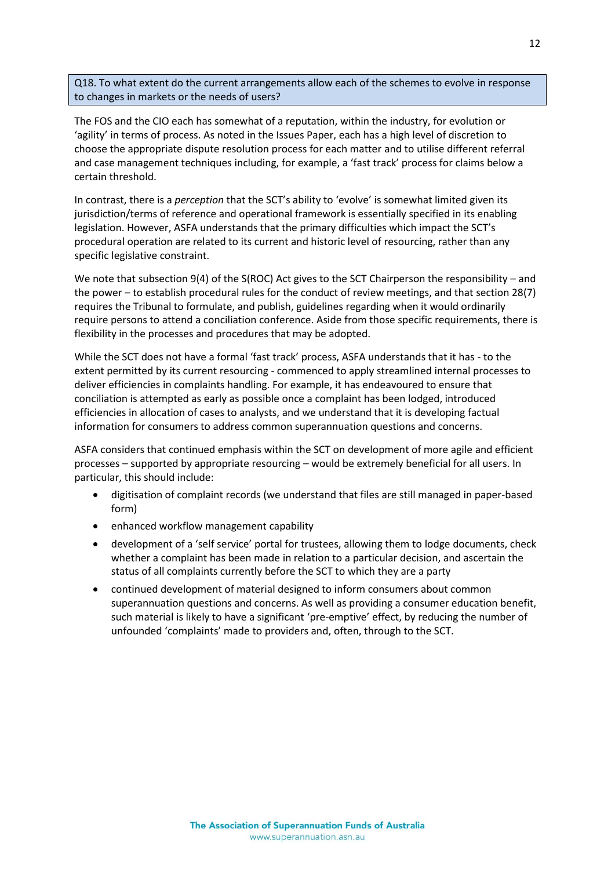Q18. To what extent do the current arrangements allow each of the schemes to evolve in response to changes in markets or the needs of users?

The FOS and the CIO each has somewhat of a reputation, within the industry, for evolution or 'agility' in terms of process. As noted in the Issues Paper, each has a high level of discretion to choose the appropriate dispute resolution process for each matter and to utilise different referral and case management techniques including, for example, a 'fast track' process for claims below a certain threshold.

In contrast, there is a *perception* that the SCT's ability to 'evolve' is somewhat limited given its jurisdiction/terms of reference and operational framework is essentially specified in its enabling legislation. However, ASFA understands that the primary difficulties which impact the SCT's procedural operation are related to its current and historic level of resourcing, rather than any specific legislative constraint.

We note that subsection 9(4) of the S(ROC) Act gives to the SCT Chairperson the responsibility – and the power – to establish procedural rules for the conduct of review meetings, and that section 28(7) requires the Tribunal to formulate, and publish, guidelines regarding when it would ordinarily require persons to attend a conciliation conference. Aside from those specific requirements, there is flexibility in the processes and procedures that may be adopted.

While the SCT does not have a formal 'fast track' process, ASFA understands that it has - to the extent permitted by its current resourcing - commenced to apply streamlined internal processes to deliver efficiencies in complaints handling. For example, it has endeavoured to ensure that conciliation is attempted as early as possible once a complaint has been lodged, introduced efficiencies in allocation of cases to analysts, and we understand that it is developing factual information for consumers to address common superannuation questions and concerns.

ASFA considers that continued emphasis within the SCT on development of more agile and efficient processes – supported by appropriate resourcing – would be extremely beneficial for all users. In particular, this should include:

- digitisation of complaint records (we understand that files are still managed in paper-based form)
- enhanced workflow management capability
- development of a 'self service' portal for trustees, allowing them to lodge documents, check whether a complaint has been made in relation to a particular decision, and ascertain the status of all complaints currently before the SCT to which they are a party
- continued development of material designed to inform consumers about common superannuation questions and concerns. As well as providing a consumer education benefit, such material is likely to have a significant 'pre-emptive' effect, by reducing the number of unfounded 'complaints' made to providers and, often, through to the SCT.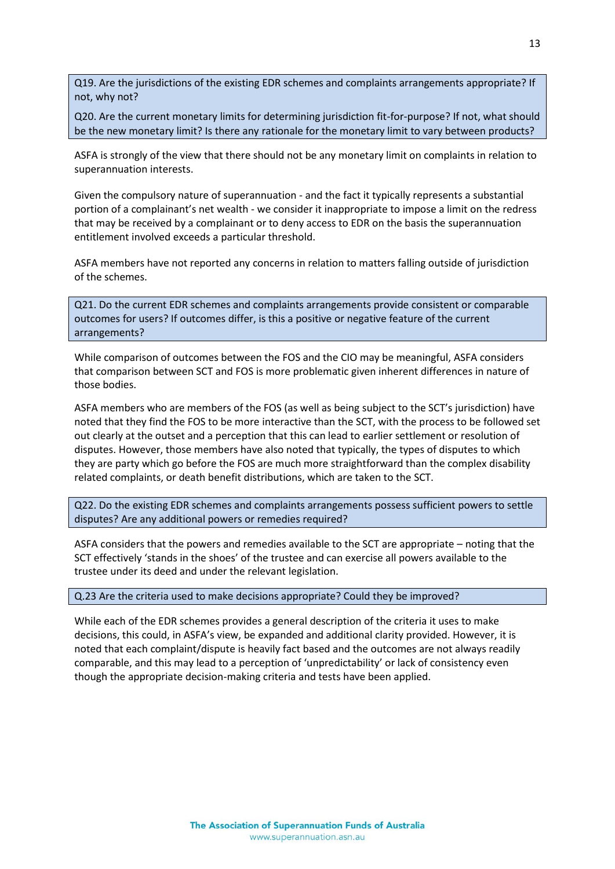Q19. Are the jurisdictions of the existing EDR schemes and complaints arrangements appropriate? If not, why not?

Q20. Are the current monetary limits for determining jurisdiction fit-for-purpose? If not, what should be the new monetary limit? Is there any rationale for the monetary limit to vary between products?

ASFA is strongly of the view that there should not be any monetary limit on complaints in relation to superannuation interests.

Given the compulsory nature of superannuation - and the fact it typically represents a substantial portion of a complainant's net wealth - we consider it inappropriate to impose a limit on the redress that may be received by a complainant or to deny access to EDR on the basis the superannuation entitlement involved exceeds a particular threshold.

ASFA members have not reported any concerns in relation to matters falling outside of jurisdiction of the schemes.

Q21. Do the current EDR schemes and complaints arrangements provide consistent or comparable outcomes for users? If outcomes differ, is this a positive or negative feature of the current arrangements?

While comparison of outcomes between the FOS and the CIO may be meaningful, ASFA considers that comparison between SCT and FOS is more problematic given inherent differences in nature of those bodies.

ASFA members who are members of the FOS (as well as being subject to the SCT's jurisdiction) have noted that they find the FOS to be more interactive than the SCT, with the process to be followed set out clearly at the outset and a perception that this can lead to earlier settlement or resolution of disputes. However, those members have also noted that typically, the types of disputes to which they are party which go before the FOS are much more straightforward than the complex disability related complaints, or death benefit distributions, which are taken to the SCT.

Q22. Do the existing EDR schemes and complaints arrangements possess sufficient powers to settle disputes? Are any additional powers or remedies required?

ASFA considers that the powers and remedies available to the SCT are appropriate – noting that the SCT effectively 'stands in the shoes' of the trustee and can exercise all powers available to the trustee under its deed and under the relevant legislation.

Q.23 Are the criteria used to make decisions appropriate? Could they be improved?

While each of the EDR schemes provides a general description of the criteria it uses to make decisions, this could, in ASFA's view, be expanded and additional clarity provided. However, it is noted that each complaint/dispute is heavily fact based and the outcomes are not always readily comparable, and this may lead to a perception of 'unpredictability' or lack of consistency even though the appropriate decision-making criteria and tests have been applied.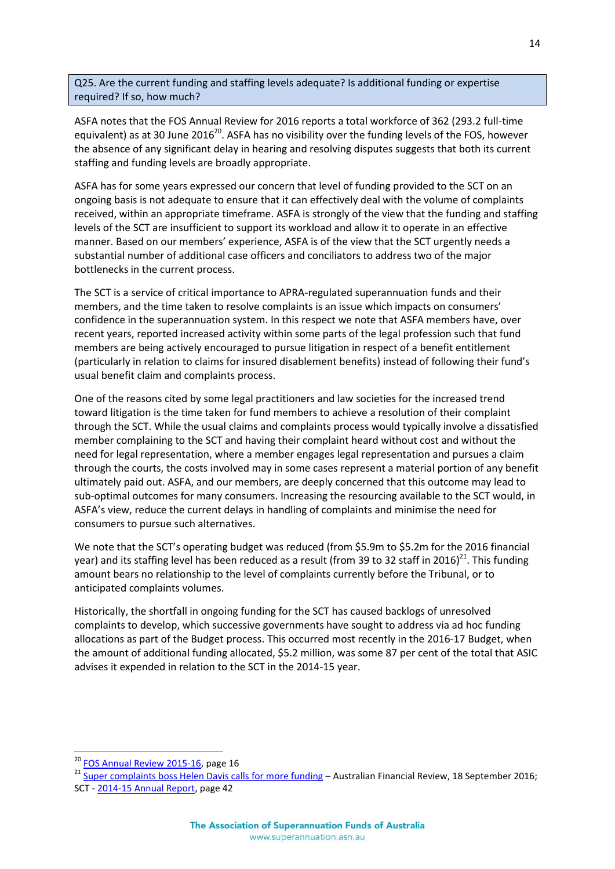Q25. Are the current funding and staffing levels adequate? Is additional funding or expertise required? If so, how much?

ASFA notes that the FOS Annual Review for 2016 reports a total workforce of 362 (293.2 full-time equivalent) as at 30 June 2016<sup>20</sup>. ASFA has no visibility over the funding levels of the FOS, however the absence of any significant delay in hearing and resolving disputes suggests that both its current staffing and funding levels are broadly appropriate.

ASFA has for some years expressed our concern that level of funding provided to the SCT on an ongoing basis is not adequate to ensure that it can effectively deal with the volume of complaints received, within an appropriate timeframe. ASFA is strongly of the view that the funding and staffing levels of the SCT are insufficient to support its workload and allow it to operate in an effective manner. Based on our members' experience, ASFA is of the view that the SCT urgently needs a substantial number of additional case officers and conciliators to address two of the major bottlenecks in the current process.

The SCT is a service of critical importance to APRA-regulated superannuation funds and their members, and the time taken to resolve complaints is an issue which impacts on consumers' confidence in the superannuation system. In this respect we note that ASFA members have, over recent years, reported increased activity within some parts of the legal profession such that fund members are being actively encouraged to pursue litigation in respect of a benefit entitlement (particularly in relation to claims for insured disablement benefits) instead of following their fund's usual benefit claim and complaints process.

One of the reasons cited by some legal practitioners and law societies for the increased trend toward litigation is the time taken for fund members to achieve a resolution of their complaint through the SCT. While the usual claims and complaints process would typically involve a dissatisfied member complaining to the SCT and having their complaint heard without cost and without the need for legal representation, where a member engages legal representation and pursues a claim through the courts, the costs involved may in some cases represent a material portion of any benefit ultimately paid out. ASFA, and our members, are deeply concerned that this outcome may lead to sub-optimal outcomes for many consumers. Increasing the resourcing available to the SCT would, in ASFA's view, reduce the current delays in handling of complaints and minimise the need for consumers to pursue such alternatives.

We note that the SCT's operating budget was reduced (from \$5.9m to \$5.2m for the 2016 financial year) and its staffing level has been reduced as a result (from 39 to 32 staff in 2016)<sup>21</sup>. This funding amount bears no relationship to the level of complaints currently before the Tribunal, or to anticipated complaints volumes.

Historically, the shortfall in ongoing funding for the SCT has caused backlogs of unresolved complaints to develop, which successive governments have sought to address via ad hoc funding allocations as part of the Budget process. This occurred most recently in the 2016-17 Budget, when the amount of additional funding allocated, \$5.2 million, was some 87 per cent of the total that ASIC advises it expended in relation to the SCT in the 2014-15 year.

<sup>&</sup>lt;sup>20</sup> [FOS Annual Review 2015-16,](http://fos.org.au/publications/flipbooks/annual-review/2015-2016/index.html#page=1) page 16

<sup>&</sup>lt;sup>21</sup> [Super complaints boss Helen Davis calls for more funding](http://www.afr.com/personal-finance/superannuation-and-smsfs/super-complaints-boss-helen-davis-calls-for-more-funding-20160917-gris1s?login_token=wTYdJK2iBpdpOVtbM-uT3GMvN2bsWT0deowadXxlPzz28Knp4SECXINac38jbXnXWxOFDhOYBVkD_mNqMWF6Hg&expiry=1474242752&single_use_token=02Cx3GunxAC0TcAEzTnCrOvN-IqryQyd7Rb3Y5jnNNmP_m6gqn-Lds0FFESVx8Mb1yVrLhvL5uVslglgY61qmA) - Australian Financial Review, 18 September 2016; SCT - [2014-15 Annual Report,](http://www.sct.gov.au/dreamcms/app/webroot/uploads/documents/SCT%20Annual%20Report%202014-15.pdf) page 42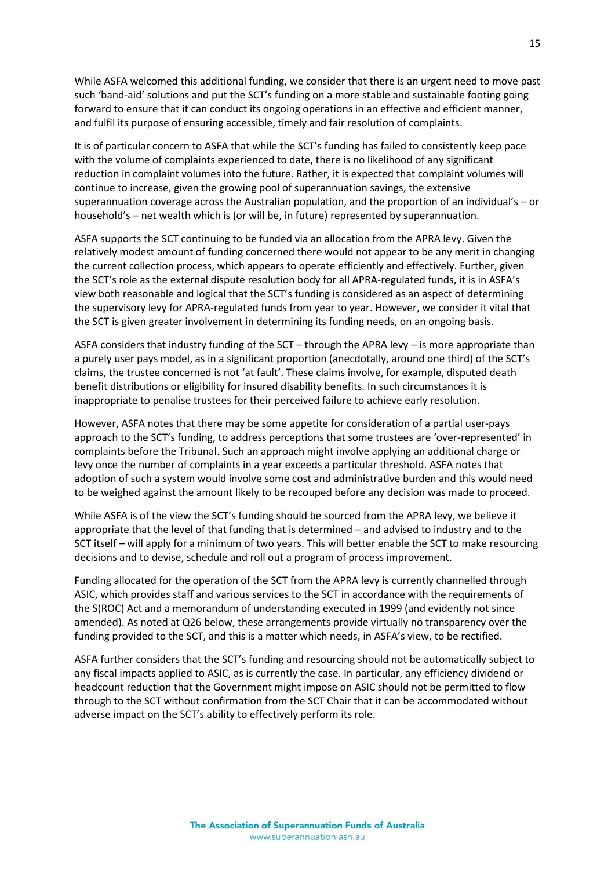While ASFA welcomed this additional funding, we consider that there is an urgent need to move past such 'band-aid' solutions and put the SCT's funding on a more stable and sustainable footing going forward to ensure that it can conduct its ongoing operations in an effective and efficient manner, and fulfil its purpose of ensuring accessible, timely and fair resolution of complaints.

It is of particular concern to ASFA that while the SCT's funding has failed to consistently keep pace with the volume of complaints experienced to date, there is no likelihood of any significant reduction in complaint volumes into the future. Rather, it is expected that complaint volumes will continue to increase, given the growing pool of superannuation savings, the extensive superannuation coverage across the Australian population, and the proportion of an individual's – or household's – net wealth which is (or will be, in future) represented by superannuation.

ASFA supports the SCT continuing to be funded via an allocation from the APRA levy. Given the relatively modest amount of funding concerned there would not appear to be any merit in changing the current collection process, which appears to operate efficiently and effectively. Further, given the SCT's role as the external dispute resolution body for all APRA-regulated funds, it is in ASFA's view both reasonable and logical that the SCT's funding is considered as an aspect of determining the supervisory levy for APRA-regulated funds from year to year. However, we consider it vital that the SCT is given greater involvement in determining its funding needs, on an ongoing basis.

ASFA considers that industry funding of the SCT – through the APRA levy – is more appropriate than a purely user pays model, as in a significant proportion (anecdotally, around one third) of the SCT's claims, the trustee concerned is not 'at fault'. These claims involve, for example, disputed death benefit distributions or eligibility for insured disability benefits. In such circumstances it is inappropriate to penalise trustees for their perceived failure to achieve early resolution.

However, ASFA notes that there may be some appetite for consideration of a partial user-pays approach to the SCT's funding, to address perceptions that some trustees are 'over-represented' in complaints before the Tribunal. Such an approach might involve applying an additional charge or levy once the number of complaints in a year exceeds a particular threshold. ASFA notes that adoption of such a system would involve some cost and administrative burden and this would need to be weighed against the amount likely to be recouped before any decision was made to proceed.

While ASFA is of the view the SCT's funding should be sourced from the APRA levy, we believe it appropriate that the level of that funding that is determined – and advised to industry and to the SCT itself – will apply for a minimum of two years. This will better enable the SCT to make resourcing decisions and to devise, schedule and roll out a program of process improvement.

Funding allocated for the operation of the SCT from the APRA levy is currently channelled through ASIC, which provides staff and various services to the SCT in accordance with the requirements of the S(ROC) Act and a memorandum of understanding executed in 1999 (and evidently not since amended). As noted at Q26 below, these arrangements provide virtually no transparency over the funding provided to the SCT, and this is a matter which needs, in ASFA's view, to be rectified.

ASFA further considers that the SCT's funding and resourcing should not be automatically subject to any fiscal impacts applied to ASIC, as is currently the case. In particular, any efficiency dividend or headcount reduction that the Government might impose on ASIC should not be permitted to flow through to the SCT without confirmation from the SCT Chair that it can be accommodated without adverse impact on the SCT's ability to effectively perform its role.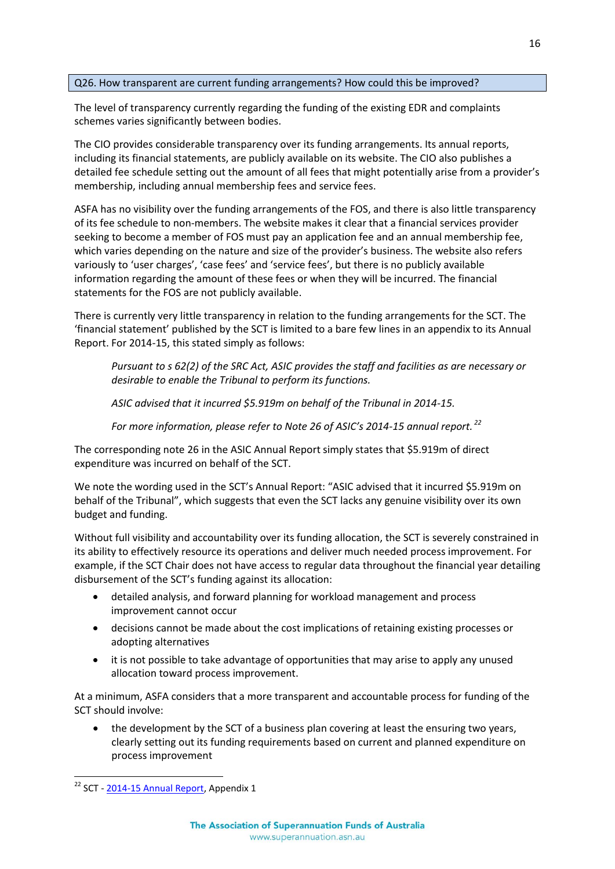#### Q26. How transparent are current funding arrangements? How could this be improved?

The level of transparency currently regarding the funding of the existing EDR and complaints schemes varies significantly between bodies.

The CIO provides considerable transparency over its funding arrangements. Its annual reports, including its financial statements, are publicly available on its website. The CIO also publishes a detailed fee schedule setting out the amount of all fees that might potentially arise from a provider's membership, including annual membership fees and service fees.

ASFA has no visibility over the funding arrangements of the FOS, and there is also little transparency of its fee schedule to non-members. The website makes it clear that a financial services provider seeking to become a member of FOS must pay an application fee and an annual membership fee, which varies depending on the nature and size of the provider's business. The website also refers variously to 'user charges', 'case fees' and 'service fees', but there is no publicly available information regarding the amount of these fees or when they will be incurred. The financial statements for the FOS are not publicly available.

There is currently very little transparency in relation to the funding arrangements for the SCT. The 'financial statement' published by the SCT is limited to a bare few lines in an appendix to its Annual Report. For 2014-15, this stated simply as follows:

*Pursuant to s 62(2) of the SRC Act, ASIC provides the staff and facilities as are necessary or desirable to enable the Tribunal to perform its functions.*

*ASIC advised that it incurred \$5.919m on behalf of the Tribunal in 2014-15.*

*For more information, please refer to Note 26 of ASIC's 2014-15 annual report. <sup>22</sup>*

The corresponding note 26 in the ASIC Annual Report simply states that \$5.919m of direct expenditure was incurred on behalf of the SCT.

We note the wording used in the SCT's Annual Report: "ASIC advised that it incurred \$5.919m on behalf of the Tribunal", which suggests that even the SCT lacks any genuine visibility over its own budget and funding.

Without full visibility and accountability over its funding allocation, the SCT is severely constrained in its ability to effectively resource its operations and deliver much needed process improvement. For example, if the SCT Chair does not have access to regular data throughout the financial year detailing disbursement of the SCT's funding against its allocation:

- detailed analysis, and forward planning for workload management and process improvement cannot occur
- decisions cannot be made about the cost implications of retaining existing processes or adopting alternatives
- it is not possible to take advantage of opportunities that may arise to apply any unused allocation toward process improvement.

At a minimum, ASFA considers that a more transparent and accountable process for funding of the SCT should involve:

 the development by the SCT of a business plan covering at least the ensuring two years, clearly setting out its funding requirements based on current and planned expenditure on process improvement

 $22$  SCT - [2014-15 Annual Report,](http://www.sct.gov.au/dreamcms/app/webroot/uploads/documents/SCT%20Annual%20Report%202014-15.pdf) Appendix 1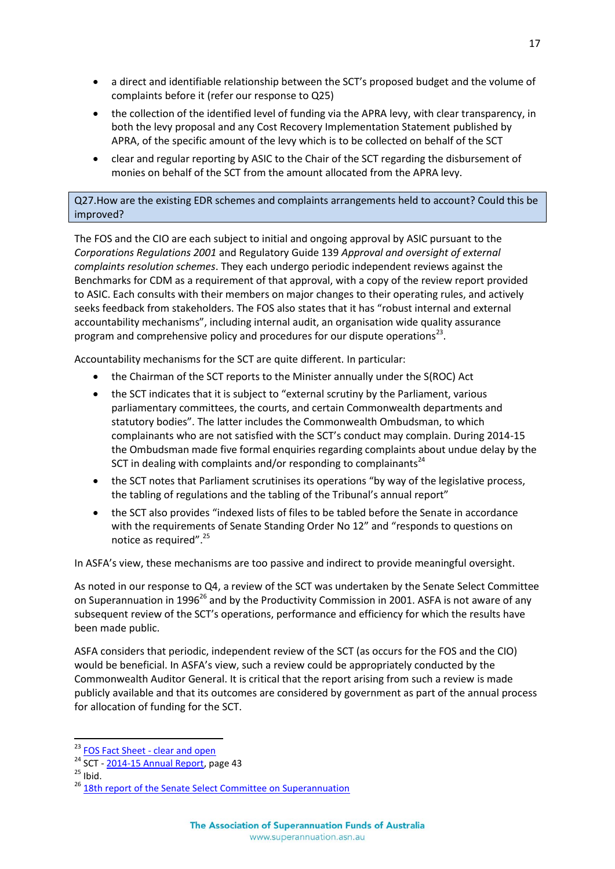- a direct and identifiable relationship between the SCT's proposed budget and the volume of complaints before it (refer our response to Q25)
- the collection of the identified level of funding via the APRA levy, with clear transparency, in both the levy proposal and any Cost Recovery Implementation Statement published by APRA, of the specific amount of the levy which is to be collected on behalf of the SCT
- clear and regular reporting by ASIC to the Chair of the SCT regarding the disbursement of monies on behalf of the SCT from the amount allocated from the APRA levy.

Q27.How are the existing EDR schemes and complaints arrangements held to account? Could this be improved?

The FOS and the CIO are each subject to initial and ongoing approval by ASIC pursuant to the *Corporations Regulations 2001* and Regulatory Guide 139 *Approval and oversight of external complaints resolution schemes*. They each undergo periodic independent reviews against the Benchmarks for CDM as a requirement of that approval, with a copy of the review report provided to ASIC. Each consults with their members on major changes to their operating rules, and actively seeks feedback from stakeholders. The FOS also states that it has "robust internal and external accountability mechanisms", including internal audit, an organisation wide quality assurance program and comprehensive policy and procedures for our dispute operations<sup>23</sup>.

Accountability mechanisms for the SCT are quite different. In particular:

- the Chairman of the SCT reports to the Minister annually under the S(ROC) Act
- the SCT indicates that it is subject to "external scrutiny by the Parliament, various parliamentary committees, the courts, and certain Commonwealth departments and statutory bodies". The latter includes the Commonwealth Ombudsman, to which complainants who are not satisfied with the SCT's conduct may complain. During 2014-15 the Ombudsman made five formal enquiries regarding complaints about undue delay by the SCT in dealing with complaints and/or responding to complainants<sup>24</sup>
- the SCT notes that Parliament scrutinises its operations "by way of the legislative process, the tabling of regulations and the tabling of the Tribunal's annual report"
- the SCT also provides "indexed lists of files to be tabled before the Senate in accordance with the requirements of Senate Standing Order No 12" and "responds to questions on notice as required".<sup>25</sup>

In ASFA's view, these mechanisms are too passive and indirect to provide meaningful oversight.

As noted in our response to Q4, a review of the SCT was undertaken by the Senate Select Committee on Superannuation in 1996<sup>26</sup> and by the Productivity Commission in 2001. ASFA is not aware of any subsequent review of the SCT's operations, performance and efficiency for which the results have been made public.

ASFA considers that periodic, independent review of the SCT (as occurs for the FOS and the CIO) would be beneficial. In ASFA's view, such a review could be appropriately conducted by the Commonwealth Auditor General. It is critical that the report arising from such a review is made publicly available and that its outcomes are considered by government as part of the annual process for allocation of funding for the SCT.

<sup>&</sup>lt;sup>23</sup> [FOS Fact Sheet -](http://www.fos.org.au/public/download/?id=49905&sstat=352442) clear and open

<sup>24</sup> SCT - [2014-15 Annual Report,](http://www.sct.gov.au/dreamcms/app/webroot/uploads/documents/SCT%20Annual%20Report%202014-15.pdf) page 43

 $25$  Ibid.

<sup>&</sup>lt;sup>26</sup> [18th report of the Senate Select Committee on Superannuation](http://www.aph.gov.au/Parliamentary_Business/Committees/Senate/Significant_Reports/superctte/suprep18/~/media/wopapub/senate/committee/history/super_ctte/suprep18/report.ashx)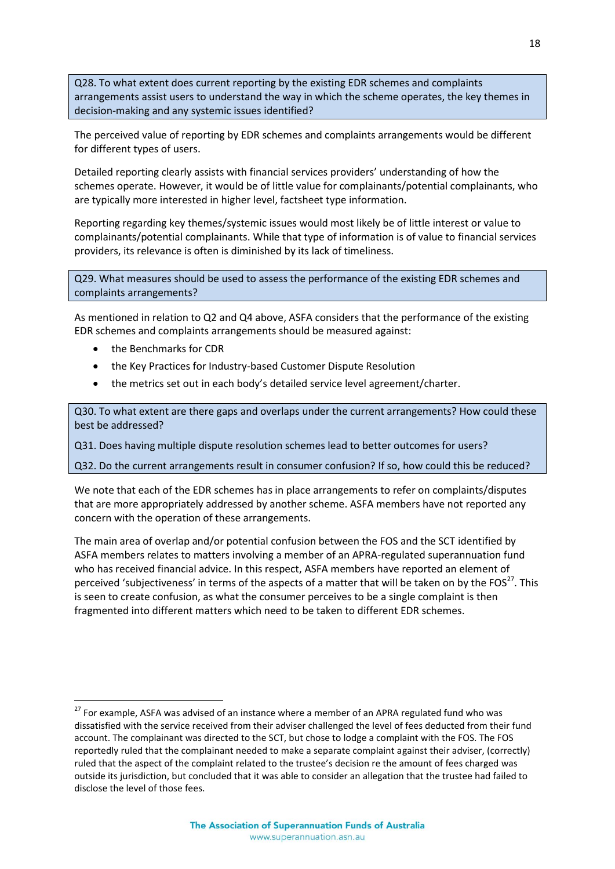Q28. To what extent does current reporting by the existing EDR schemes and complaints arrangements assist users to understand the way in which the scheme operates, the key themes in decision-making and any systemic issues identified?

The perceived value of reporting by EDR schemes and complaints arrangements would be different for different types of users.

Detailed reporting clearly assists with financial services providers' understanding of how the schemes operate. However, it would be of little value for complainants/potential complainants, who are typically more interested in higher level, factsheet type information.

Reporting regarding key themes/systemic issues would most likely be of little interest or value to complainants/potential complainants. While that type of information is of value to financial services providers, its relevance is often is diminished by its lack of timeliness.

Q29. What measures should be used to assess the performance of the existing EDR schemes and complaints arrangements?

As mentioned in relation to Q2 and Q4 above, ASFA considers that the performance of the existing EDR schemes and complaints arrangements should be measured against:

the Benchmarks for CDR

 $\overline{a}$ 

- the Key Practices for Industry-based Customer Dispute Resolution
- the metrics set out in each body's detailed service level agreement/charter.

Q30. To what extent are there gaps and overlaps under the current arrangements? How could these best be addressed?

Q31. Does having multiple dispute resolution schemes lead to better outcomes for users?

Q32. Do the current arrangements result in consumer confusion? If so, how could this be reduced?

We note that each of the EDR schemes has in place arrangements to refer on complaints/disputes that are more appropriately addressed by another scheme. ASFA members have not reported any concern with the operation of these arrangements.

The main area of overlap and/or potential confusion between the FOS and the SCT identified by ASFA members relates to matters involving a member of an APRA-regulated superannuation fund who has received financial advice. In this respect, ASFA members have reported an element of perceived 'subjectiveness' in terms of the aspects of a matter that will be taken on by the FOS $^{27}$ . This is seen to create confusion, as what the consumer perceives to be a single complaint is then fragmented into different matters which need to be taken to different EDR schemes.

<sup>&</sup>lt;sup>27</sup> For example, ASFA was advised of an instance where a member of an APRA regulated fund who was dissatisfied with the service received from their adviser challenged the level of fees deducted from their fund account. The complainant was directed to the SCT, but chose to lodge a complaint with the FOS. The FOS reportedly ruled that the complainant needed to make a separate complaint against their adviser, (correctly) ruled that the aspect of the complaint related to the trustee's decision re the amount of fees charged was outside its jurisdiction, but concluded that it was able to consider an allegation that the trustee had failed to disclose the level of those fees.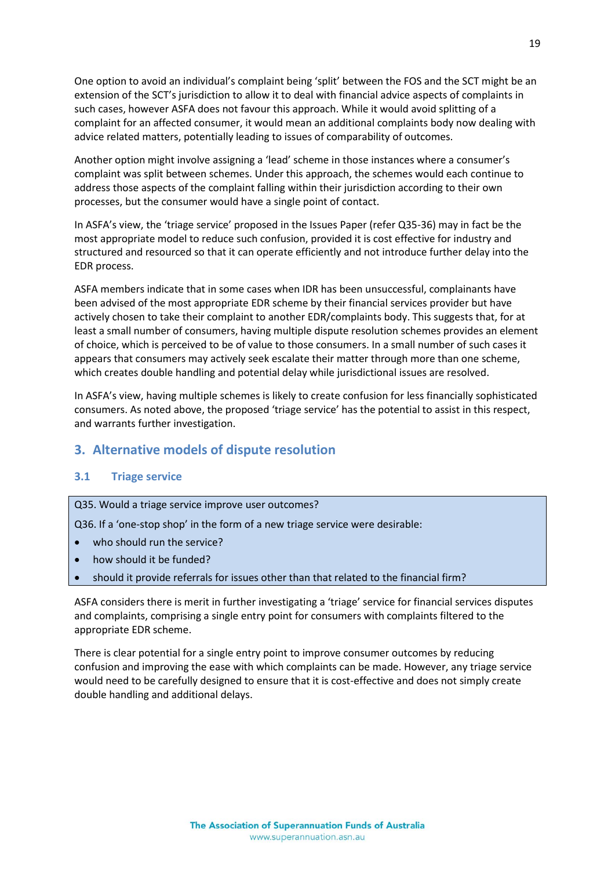One option to avoid an individual's complaint being 'split' between the FOS and the SCT might be an extension of the SCT's jurisdiction to allow it to deal with financial advice aspects of complaints in such cases, however ASFA does not favour this approach. While it would avoid splitting of a complaint for an affected consumer, it would mean an additional complaints body now dealing with advice related matters, potentially leading to issues of comparability of outcomes.

Another option might involve assigning a 'lead' scheme in those instances where a consumer's complaint was split between schemes. Under this approach, the schemes would each continue to address those aspects of the complaint falling within their jurisdiction according to their own processes, but the consumer would have a single point of contact.

In ASFA's view, the 'triage service' proposed in the Issues Paper (refer Q35-36) may in fact be the most appropriate model to reduce such confusion, provided it is cost effective for industry and structured and resourced so that it can operate efficiently and not introduce further delay into the EDR process.

ASFA members indicate that in some cases when IDR has been unsuccessful, complainants have been advised of the most appropriate EDR scheme by their financial services provider but have actively chosen to take their complaint to another EDR/complaints body. This suggests that, for at least a small number of consumers, having multiple dispute resolution schemes provides an element of choice, which is perceived to be of value to those consumers. In a small number of such cases it appears that consumers may actively seek escalate their matter through more than one scheme, which creates double handling and potential delay while jurisdictional issues are resolved.

In ASFA's view, having multiple schemes is likely to create confusion for less financially sophisticated consumers. As noted above, the proposed 'triage service' has the potential to assist in this respect, and warrants further investigation.

## <span id="page-21-0"></span>**3. Alternative models of dispute resolution**

#### <span id="page-21-1"></span>**3.1 Triage service**

Q35. Would a triage service improve user outcomes?

Q36. If a 'one-stop shop' in the form of a new triage service were desirable:

- who should run the service?
- how should it be funded?
- should it provide referrals for issues other than that related to the financial firm?

ASFA considers there is merit in further investigating a 'triage' service for financial services disputes and complaints, comprising a single entry point for consumers with complaints filtered to the appropriate EDR scheme.

There is clear potential for a single entry point to improve consumer outcomes by reducing confusion and improving the ease with which complaints can be made. However, any triage service would need to be carefully designed to ensure that it is cost-effective and does not simply create double handling and additional delays.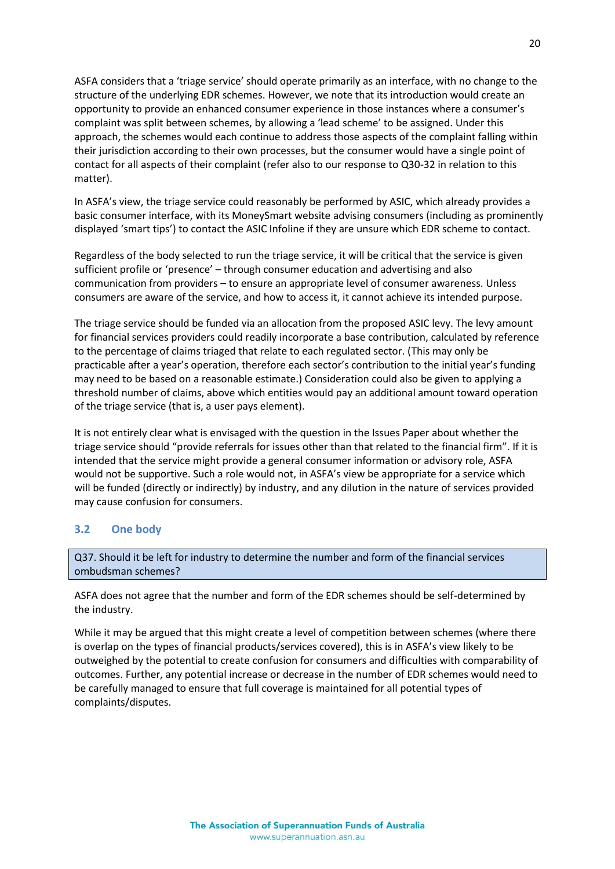ASFA considers that a 'triage service' should operate primarily as an interface, with no change to the structure of the underlying EDR schemes. However, we note that its introduction would create an opportunity to provide an enhanced consumer experience in those instances where a consumer's complaint was split between schemes, by allowing a 'lead scheme' to be assigned. Under this approach, the schemes would each continue to address those aspects of the complaint falling within their jurisdiction according to their own processes, but the consumer would have a single point of contact for all aspects of their complaint (refer also to our response to Q30-32 in relation to this matter).

In ASFA's view, the triage service could reasonably be performed by ASIC, which already provides a basic consumer interface, with its MoneySmart website advising consumers (including as prominently displayed 'smart tips') to contact the ASIC Infoline if they are unsure which EDR scheme to contact.

Regardless of the body selected to run the triage service, it will be critical that the service is given sufficient profile or 'presence' – through consumer education and advertising and also communication from providers – to ensure an appropriate level of consumer awareness. Unless consumers are aware of the service, and how to access it, it cannot achieve its intended purpose.

The triage service should be funded via an allocation from the proposed ASIC levy. The levy amount for financial services providers could readily incorporate a base contribution, calculated by reference to the percentage of claims triaged that relate to each regulated sector. (This may only be practicable after a year's operation, therefore each sector's contribution to the initial year's funding may need to be based on a reasonable estimate.) Consideration could also be given to applying a threshold number of claims, above which entities would pay an additional amount toward operation of the triage service (that is, a user pays element).

It is not entirely clear what is envisaged with the question in the Issues Paper about whether the triage service should "provide referrals for issues other than that related to the financial firm". If it is intended that the service might provide a general consumer information or advisory role, ASFA would not be supportive. Such a role would not, in ASFA's view be appropriate for a service which will be funded (directly or indirectly) by industry, and any dilution in the nature of services provided may cause confusion for consumers.

#### <span id="page-22-0"></span>**3.2 One body**

Q37. Should it be left for industry to determine the number and form of the financial services ombudsman schemes?

ASFA does not agree that the number and form of the EDR schemes should be self-determined by the industry.

While it may be argued that this might create a level of competition between schemes (where there is overlap on the types of financial products/services covered), this is in ASFA's view likely to be outweighed by the potential to create confusion for consumers and difficulties with comparability of outcomes. Further, any potential increase or decrease in the number of EDR schemes would need to be carefully managed to ensure that full coverage is maintained for all potential types of complaints/disputes.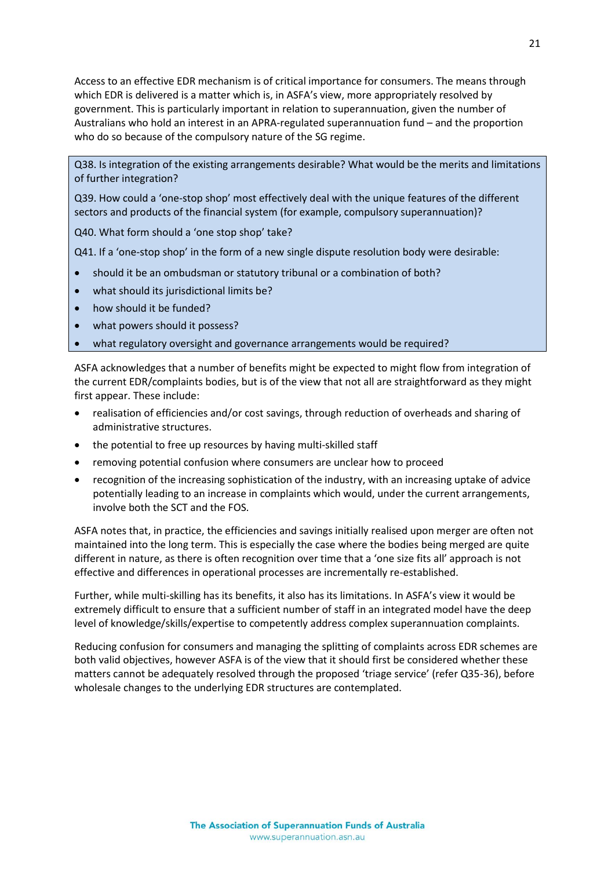Access to an effective EDR mechanism is of critical importance for consumers. The means through which EDR is delivered is a matter which is, in ASFA's view, more appropriately resolved by government. This is particularly important in relation to superannuation, given the number of Australians who hold an interest in an APRA-regulated superannuation fund – and the proportion who do so because of the compulsory nature of the SG regime.

Q38. Is integration of the existing arrangements desirable? What would be the merits and limitations of further integration?

Q39. How could a 'one-stop shop' most effectively deal with the unique features of the different sectors and products of the financial system (for example, compulsory superannuation)?

Q40. What form should a 'one stop shop' take?

Q41. If a 'one-stop shop' in the form of a new single dispute resolution body were desirable:

- should it be an ombudsman or statutory tribunal or a combination of both?
- what should its jurisdictional limits be?
- how should it be funded?
- what powers should it possess?
- what regulatory oversight and governance arrangements would be required?

ASFA acknowledges that a number of benefits might be expected to might flow from integration of the current EDR/complaints bodies, but is of the view that not all are straightforward as they might first appear. These include:

- realisation of efficiencies and/or cost savings, through reduction of overheads and sharing of administrative structures.
- the potential to free up resources by having multi-skilled staff
- removing potential confusion where consumers are unclear how to proceed
- recognition of the increasing sophistication of the industry, with an increasing uptake of advice potentially leading to an increase in complaints which would, under the current arrangements, involve both the SCT and the FOS.

ASFA notes that, in practice, the efficiencies and savings initially realised upon merger are often not maintained into the long term. This is especially the case where the bodies being merged are quite different in nature, as there is often recognition over time that a 'one size fits all' approach is not effective and differences in operational processes are incrementally re-established.

Further, while multi-skilling has its benefits, it also has its limitations. In ASFA's view it would be extremely difficult to ensure that a sufficient number of staff in an integrated model have the deep level of knowledge/skills/expertise to competently address complex superannuation complaints.

Reducing confusion for consumers and managing the splitting of complaints across EDR schemes are both valid objectives, however ASFA is of the view that it should first be considered whether these matters cannot be adequately resolved through the proposed 'triage service' (refer Q35-36), before wholesale changes to the underlying EDR structures are contemplated.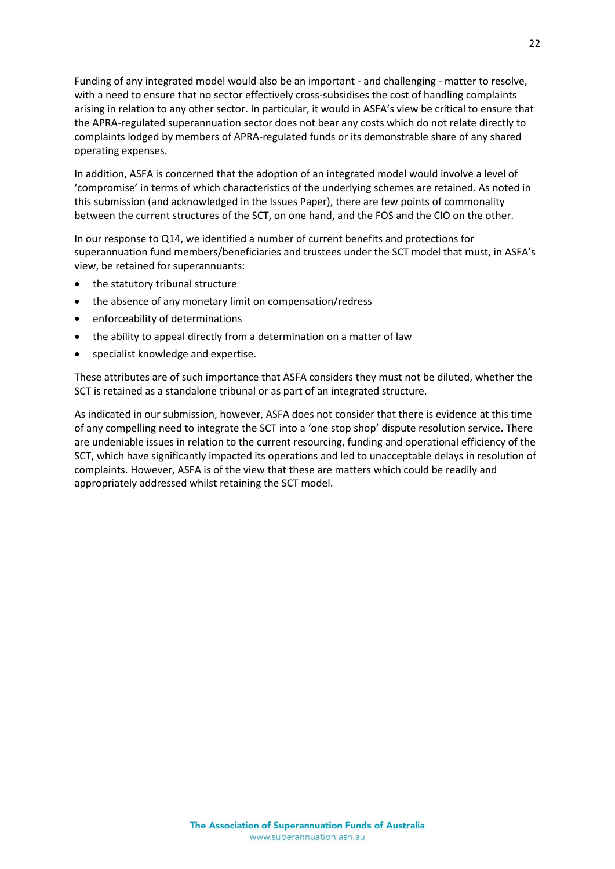Funding of any integrated model would also be an important - and challenging - matter to resolve, with a need to ensure that no sector effectively cross-subsidises the cost of handling complaints arising in relation to any other sector. In particular, it would in ASFA's view be critical to ensure that the APRA-regulated superannuation sector does not bear any costs which do not relate directly to complaints lodged by members of APRA-regulated funds or its demonstrable share of any shared operating expenses.

In addition, ASFA is concerned that the adoption of an integrated model would involve a level of 'compromise' in terms of which characteristics of the underlying schemes are retained. As noted in this submission (and acknowledged in the Issues Paper), there are few points of commonality between the current structures of the SCT, on one hand, and the FOS and the CIO on the other.

In our response to Q14, we identified a number of current benefits and protections for superannuation fund members/beneficiaries and trustees under the SCT model that must, in ASFA's view, be retained for superannuants:

- the statutory tribunal structure
- the absence of any monetary limit on compensation/redress
- enforceability of determinations
- the ability to appeal directly from a determination on a matter of law
- specialist knowledge and expertise.

These attributes are of such importance that ASFA considers they must not be diluted, whether the SCT is retained as a standalone tribunal or as part of an integrated structure.

As indicated in our submission, however, ASFA does not consider that there is evidence at this time of any compelling need to integrate the SCT into a 'one stop shop' dispute resolution service. There are undeniable issues in relation to the current resourcing, funding and operational efficiency of the SCT, which have significantly impacted its operations and led to unacceptable delays in resolution of complaints. However, ASFA is of the view that these are matters which could be readily and appropriately addressed whilst retaining the SCT model.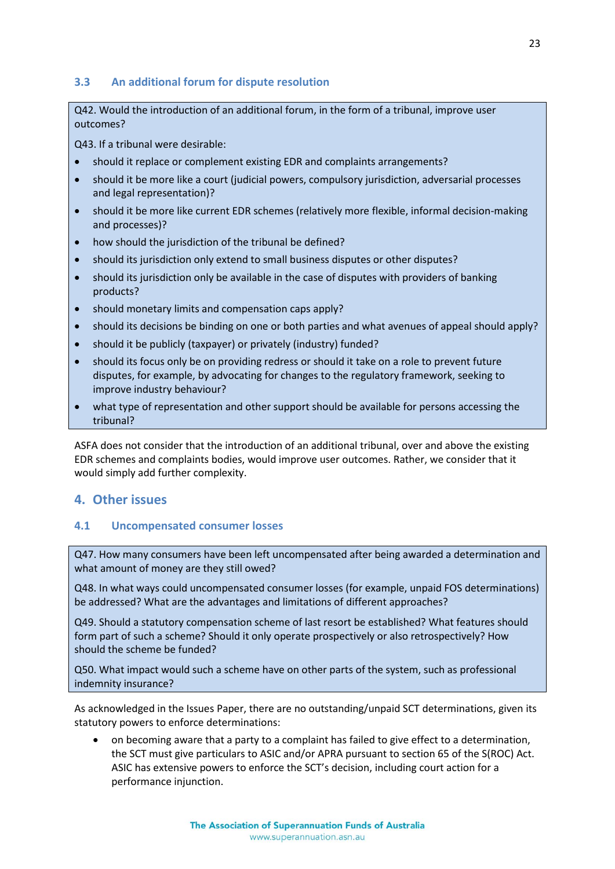### <span id="page-25-0"></span>**3.3 An additional forum for dispute resolution**

Q42. Would the introduction of an additional forum, in the form of a tribunal, improve user outcomes?

Q43. If a tribunal were desirable:

- should it replace or complement existing EDR and complaints arrangements?
- should it be more like a court (judicial powers, compulsory jurisdiction, adversarial processes and legal representation)?
- should it be more like current EDR schemes (relatively more flexible, informal decision-making and processes)?
- how should the jurisdiction of the tribunal be defined?
- should its jurisdiction only extend to small business disputes or other disputes?
- should its jurisdiction only be available in the case of disputes with providers of banking products?
- should monetary limits and compensation caps apply?
- should its decisions be binding on one or both parties and what avenues of appeal should apply?
- should it be publicly (taxpayer) or privately (industry) funded?
- should its focus only be on providing redress or should it take on a role to prevent future disputes, for example, by advocating for changes to the regulatory framework, seeking to improve industry behaviour?
- what type of representation and other support should be available for persons accessing the tribunal?

ASFA does not consider that the introduction of an additional tribunal, over and above the existing EDR schemes and complaints bodies, would improve user outcomes. Rather, we consider that it would simply add further complexity.

## <span id="page-25-1"></span>**4. Other issues**

#### <span id="page-25-2"></span>**4.1 Uncompensated consumer losses**

Q47. How many consumers have been left uncompensated after being awarded a determination and what amount of money are they still owed?

Q48. In what ways could uncompensated consumer losses (for example, unpaid FOS determinations) be addressed? What are the advantages and limitations of different approaches?

Q49. Should a statutory compensation scheme of last resort be established? What features should form part of such a scheme? Should it only operate prospectively or also retrospectively? How should the scheme be funded?

Q50. What impact would such a scheme have on other parts of the system, such as professional indemnity insurance?

As acknowledged in the Issues Paper, there are no outstanding/unpaid SCT determinations, given its statutory powers to enforce determinations:

 on becoming aware that a party to a complaint has failed to give effect to a determination, the SCT must give particulars to ASIC and/or APRA pursuant to section 65 of the S(ROC) Act. ASIC has extensive powers to enforce the SCT's decision, including court action for a performance injunction.